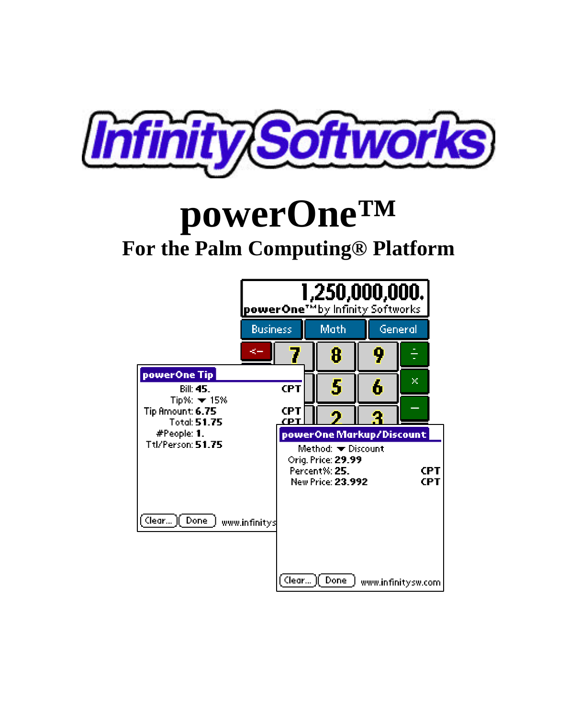

# **powerOne™ For the Palm Computing® Platform**

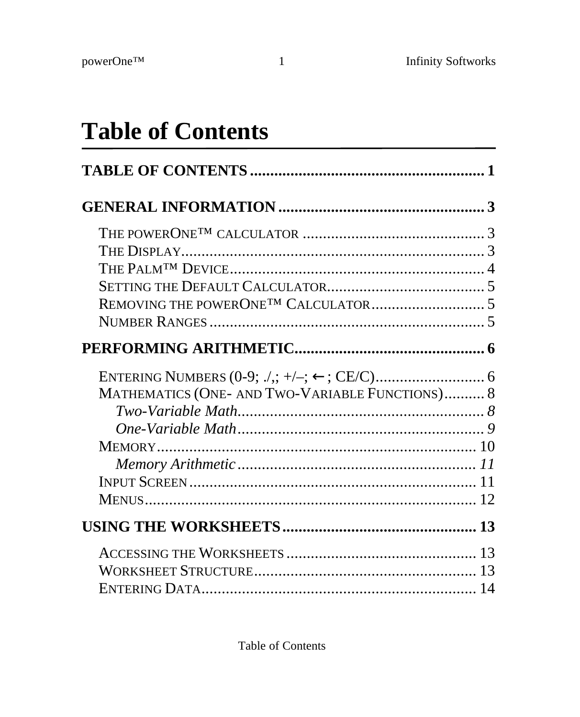# **Table of Contents**

| MATHEMATICS (ONE- AND TWO-VARIABLE FUNCTIONS) 8 |    |
|-------------------------------------------------|----|
|                                                 |    |
|                                                 |    |
|                                                 |    |
|                                                 |    |
|                                                 |    |
|                                                 |    |
|                                                 |    |
|                                                 |    |
|                                                 | 13 |
|                                                 |    |

Table of Contents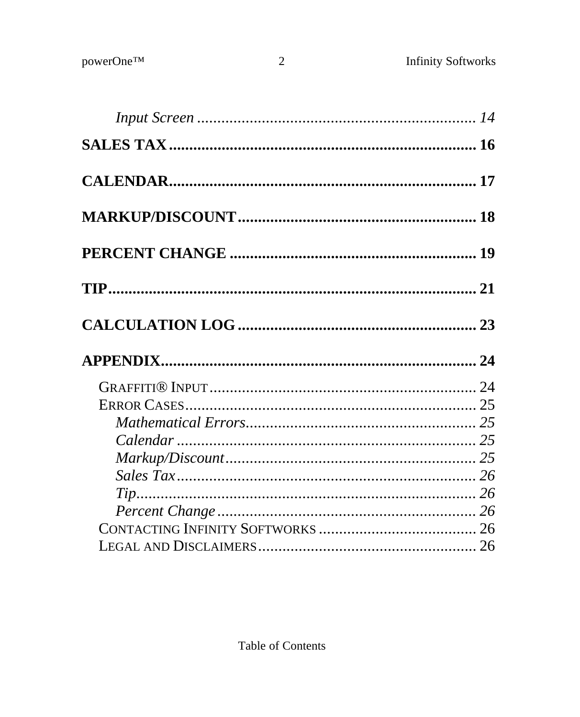$\overline{2}$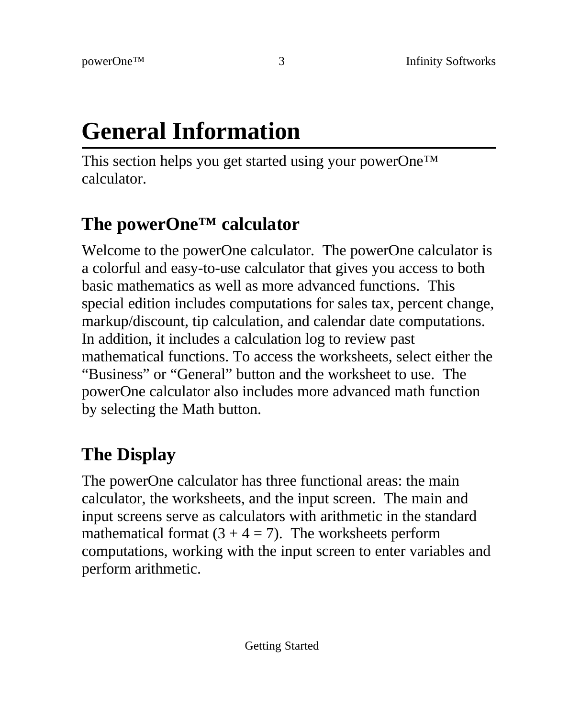# **General Information**

This section helps you get started using your powerOne™ calculator.

## **The powerOne™ calculator**

Welcome to the powerOne calculator. The powerOne calculator is a colorful and easy-to-use calculator that gives you access to both basic mathematics as well as more advanced functions. This special edition includes computations for sales tax, percent change, markup/discount, tip calculation, and calendar date computations. In addition, it includes a calculation log to review past mathematical functions. To access the worksheets, select either the "Business" or "General" button and the worksheet to use. The powerOne calculator also includes more advanced math function by selecting the Math button.

# **The Display**

The powerOne calculator has three functional areas: the main calculator, the worksheets, and the input screen. The main and input screens serve as calculators with arithmetic in the standard mathematical format  $(3 + 4 = 7)$ . The worksheets perform computations, working with the input screen to enter variables and perform arithmetic.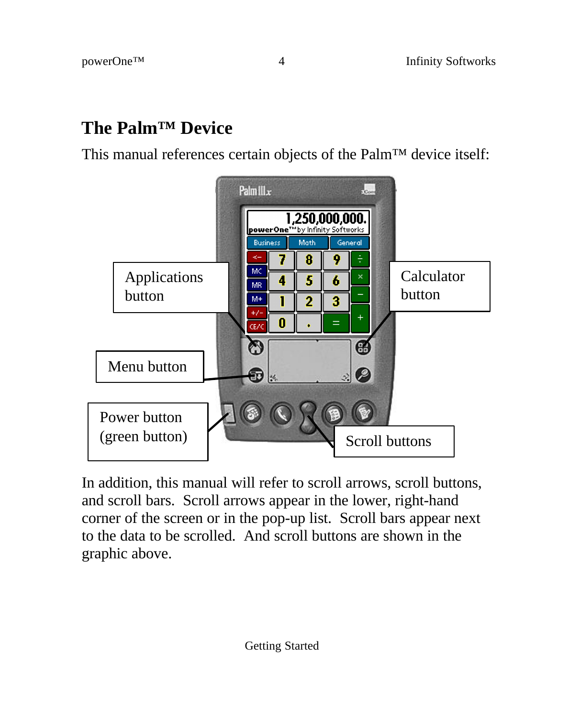### **The Palm™ Device**

This manual references certain objects of the Palm™ device itself:



In addition, this manual will refer to scroll arrows, scroll buttons, and scroll bars. Scroll arrows appear in the lower, right-hand corner of the screen or in the pop-up list. Scroll bars appear next to the data to be scrolled. And scroll buttons are shown in the graphic above.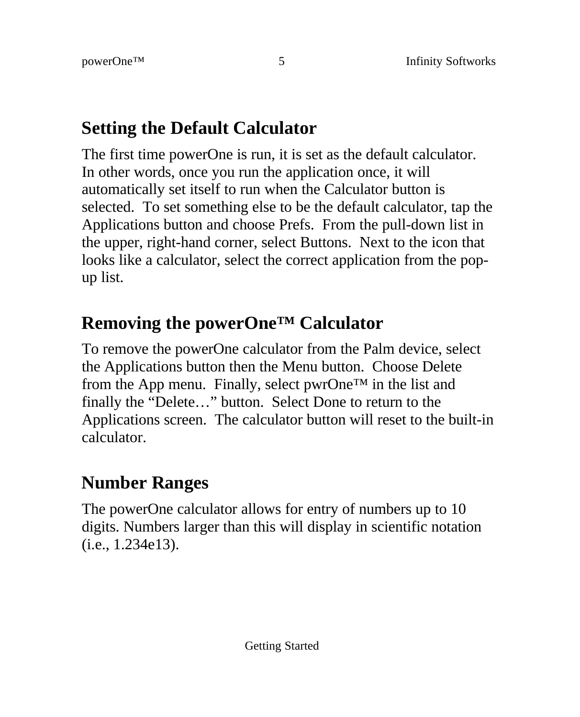### **Setting the Default Calculator**

The first time powerOne is run, it is set as the default calculator. In other words, once you run the application once, it will automatically set itself to run when the Calculator button is selected. To set something else to be the default calculator, tap the Applications button and choose Prefs. From the pull-down list in the upper, right-hand corner, select Buttons. Next to the icon that looks like a calculator, select the correct application from the popup list.

### **Removing the powerOne™ Calculator**

To remove the powerOne calculator from the Palm device, select the Applications button then the Menu button. Choose Delete from the App menu. Finally, select pwrOne™ in the list and finally the "Delete…" button. Select Done to return to the Applications screen. The calculator button will reset to the built-in calculator.

## **Number Ranges**

The powerOne calculator allows for entry of numbers up to 10 digits. Numbers larger than this will display in scientific notation (i.e., 1.234e13).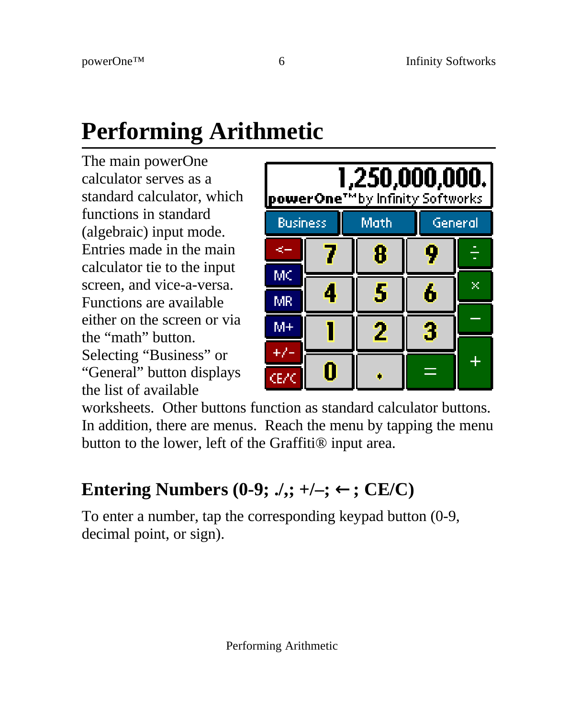# **Performing Arithmetic**

The main powerOne calculator serves as a standard calculator, which functions in standard (algebraic) input mode. Entries made in the main calculator tie to the input screen, and vice-a-versa. Functions are available either on the screen or via the "math" button. Selecting "Business" or "General" button displays the list of available



worksheets. Other buttons function as standard calculator buttons. In addition, there are menus. Reach the menu by tapping the menu button to the lower, left of the Graffiti® input area.

## **Entering Numbers (0-9;**  $\lambda$ **,; +/-;**  $\leftarrow$ **; CE/C)**

To enter a number, tap the corresponding keypad button (0-9, decimal point, or sign).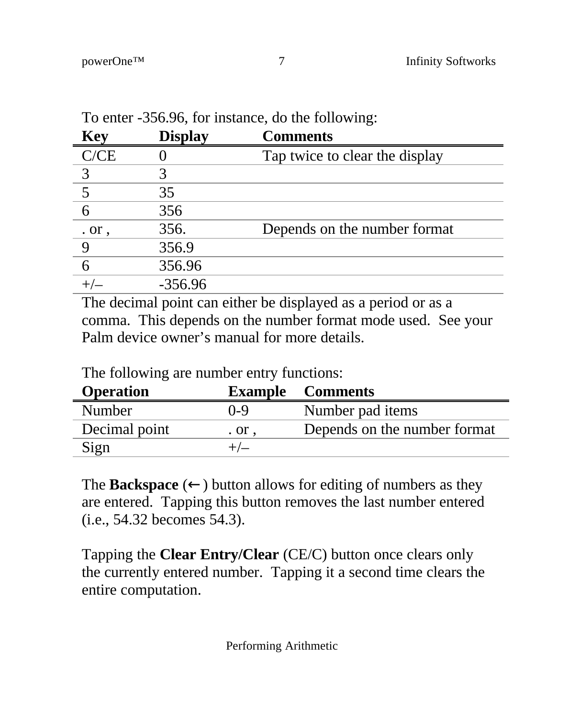| Key                  | <b>Display</b> | <b>Comments</b>                |
|----------------------|----------------|--------------------------------|
| C/CE                 |                | Tap twice to clear the display |
|                      |                |                                |
|                      | 35             |                                |
| 6                    | 356            |                                |
| $\alpha$ or $\alpha$ | 356.           | Depends on the number format   |
|                      | 356.9          |                                |
|                      | 356.96         |                                |
|                      | $-356.96$      |                                |

To enter -356.96, for instance, do the following:

The decimal point can either be displayed as a period or as a comma. This depends on the number format mode used. See your Palm device owner's manual for more details.

| <b>Operation</b> |              | <b>Example</b> Comments      |
|------------------|--------------|------------------------------|
| Number           | 0-9          | Number pad items             |
| Decimal point    | . or $\cdot$ | Depends on the number format |
| Sign             |              |                              |

The following are number entry functions:

The **Backspace** ( $\leftarrow$ ) button allows for editing of numbers as they are entered. Tapping this button removes the last number entered (i.e., 54.32 becomes 54.3).

Tapping the **Clear Entry/Clear** (CE/C) button once clears only the currently entered number. Tapping it a second time clears the entire computation.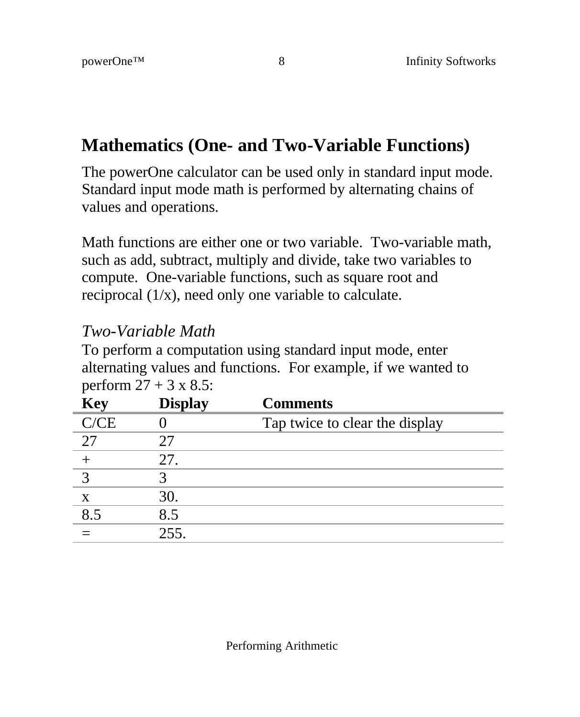### **Mathematics (One- and Two-Variable Functions)**

The powerOne calculator can be used only in standard input mode. Standard input mode math is performed by alternating chains of values and operations.

Math functions are either one or two variable. Two-variable math, such as add, subtract, multiply and divide, take two variables to compute. One-variable functions, such as square root and reciprocal (1/x), need only one variable to calculate.

#### *Two-Variable Math*

To perform a computation using standard input mode, enter alternating values and functions. For example, if we wanted to perform  $27 + 3 \times 8.5$ :

| Key  | <b>Display</b> | <b>Comments</b>                |
|------|----------------|--------------------------------|
| C/CE |                | Tap twice to clear the display |
| 27   | 27             |                                |
|      | 27.            |                                |
|      |                |                                |
| X    | 30.            |                                |
| 8.5  | 8.5            |                                |
|      | 255.           |                                |
|      |                |                                |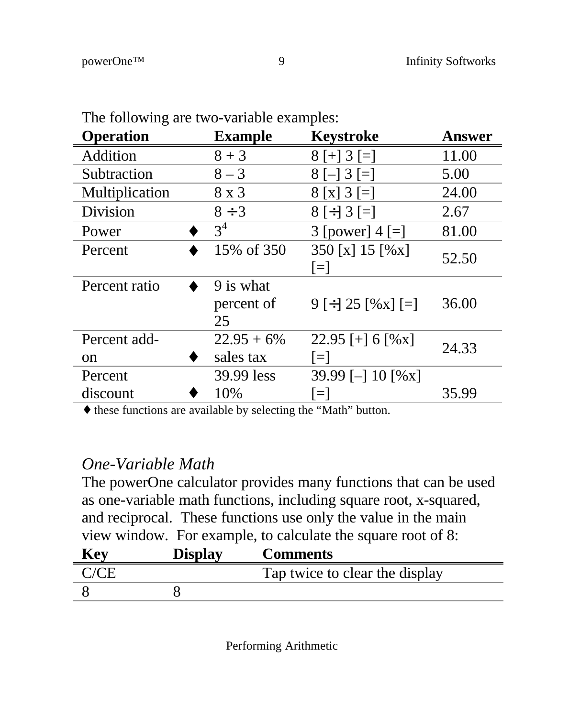| <b>Operation</b>    | <b>Example</b>                | Keystroke                  | Answer |
|---------------------|-------------------------------|----------------------------|--------|
| Addition            | $8 + 3$                       | $8$ [+] 3 [=]              | 11.00  |
| Subtraction         | $8 - 3$                       | $8[-] 3[=]$                | 5.00   |
| Multiplication      | 8 x 3                         | $8[x]$ 3 [=]               | 24.00  |
| Division            | $8 \div 3$                    | $8 \div 3 =$               | 2.67   |
| Power               | $3^4$                         | 3 [power] $4$ [=]          | 81.00  |
| Percent             | 15% of 350                    | 350 [x] 15 [%x]<br>$\Xi$   | 52.50  |
| Percent ratio       | 9 is what<br>percent of<br>25 | $9 \div 25$ [%x] $\div$    | 36.00  |
| Percent add-<br>on  | $22.95 + 6\%$<br>sales tax    | 22.95 [+] 6 [%x]<br>$=$    | 24.33  |
| Percent<br>discount | 39.99 less<br>10%             | 39.99 [-] 10 [%x]<br>$\Xi$ | 35.99  |
|                     |                               |                            |        |

The following are two-variable examples:

♦ these functions are available by selecting the "Math" button.

#### *One-Variable Math*

The powerOne calculator provides many functions that can be used as one-variable math functions, including square root, x-squared, and reciprocal. These functions use only the value in the main view window. For example, to calculate the square root of 8: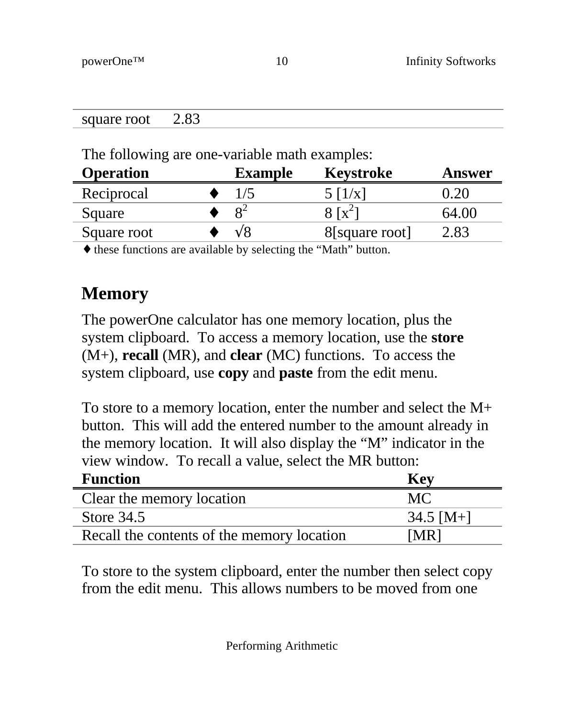| square root                                   | 2.83 |                |                 |        |
|-----------------------------------------------|------|----------------|-----------------|--------|
|                                               |      |                |                 |        |
| The following are one-variable math examples: |      |                |                 |        |
|                                               |      |                |                 |        |
| <b>Operation</b>                              |      | <b>Example</b> | Keystroke       | Answer |
| Reciprocal                                    |      | 1/5            | $5 \frac{1}{x}$ | 0.20   |

Square root  $\longrightarrow \sqrt{8}$  8[square root] 2.83

♦ these functions are available by selecting the "Math" button.

### **Memory**

The powerOne calculator has one memory location, plus the system clipboard. To access a memory location, use the **store** (M+), **recall** (MR), and **clear** (MC) functions. To access the system clipboard, use **copy** and **paste** from the edit menu.

To store to a memory location, enter the number and select the M+ button. This will add the entered number to the amount already in the memory location. It will also display the "M" indicator in the view window. To recall a value, select the MR button:

| <b>Function</b>                            | <b>Key</b>  |
|--------------------------------------------|-------------|
| Clear the memory location                  | MC.         |
| Store 34.5                                 | $34.5$ [M+] |
| Recall the contents of the memory location | [MR]        |

To store to the system clipboard, enter the number then select copy from the edit menu. This allows numbers to be moved from one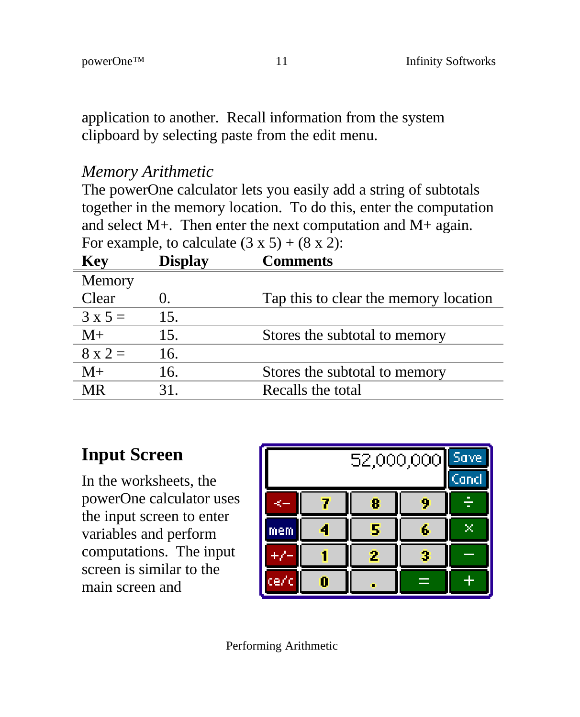application to another. Recall information from the system clipboard by selecting paste from the edit menu.

#### *Memory Arithmetic*

The powerOne calculator lets you easily add a string of subtotals together in the memory location. To do this, enter the computation and select M+. Then enter the next computation and M+ again. For example, to calculate  $(3 \times 5) + (8 \times 2)$ :

| Key            | <b>Display</b> | <b>Comments</b>                       |
|----------------|----------------|---------------------------------------|
| Memory         |                |                                       |
| Clear          | 0.             | Tap this to clear the memory location |
| $3 \times 5 =$ | 15.            |                                       |
| $M+$           | 15.            | Stores the subtotal to memory         |
| $8 \times 2 =$ | 16.            |                                       |
| $M+$           | 16.            | Stores the subtotal to memory         |
| MR             | 31.            | Recalls the total                     |
|                |                |                                       |

### **Input Screen**

In the worksheets, the powerOne calculator uses the input screen to enter variables and perform computations. The input screen is similar to the main screen and



Performing Arithmetic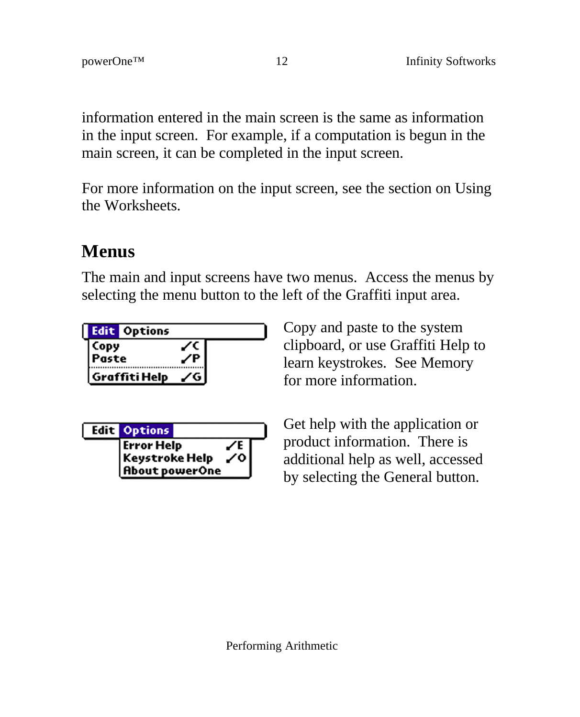information entered in the main screen is the same as information in the input screen. For example, if a computation is begun in the main screen, it can be completed in the input screen.

For more information on the input screen, see the section on Using the Worksheets.

### **Menus**

The main and input screens have two menus. Access the menus by selecting the menu button to the left of the Graffiti input area.

| <b>Edit Options</b> |  |
|---------------------|--|
| Paste               |  |
| Graffiti Help       |  |

| <b>Edit Options</b>                                          |     |
|--------------------------------------------------------------|-----|
| <b>Error Help</b><br>Keystroke Help<br><b>About powerOne</b> | ∠ol |

Copy and paste to the system clipboard, or use Graffiti Help to learn keystrokes. See Memory for more information.

Get help with the application or product information. There is additional help as well, accessed by selecting the General button.

Performing Arithmetic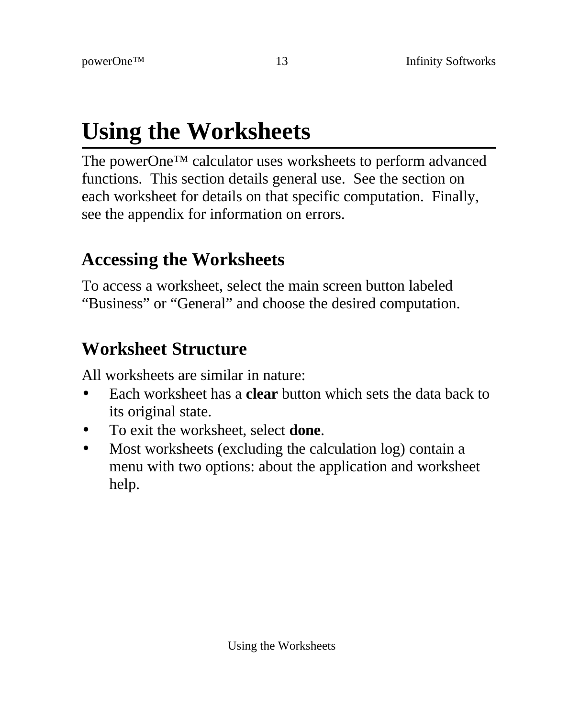# **Using the Worksheets**

The powerOne™ calculator uses worksheets to perform advanced functions. This section details general use. See the section on each worksheet for details on that specific computation. Finally, see the appendix for information on errors.

### **Accessing the Worksheets**

To access a worksheet, select the main screen button labeled "Business" or "General" and choose the desired computation.

### **Worksheet Structure**

All worksheets are similar in nature:

- Each worksheet has a **clear** button which sets the data back to its original state.
- To exit the worksheet, select **done**.
- Most worksheets (excluding the calculation log) contain a menu with two options: about the application and worksheet help.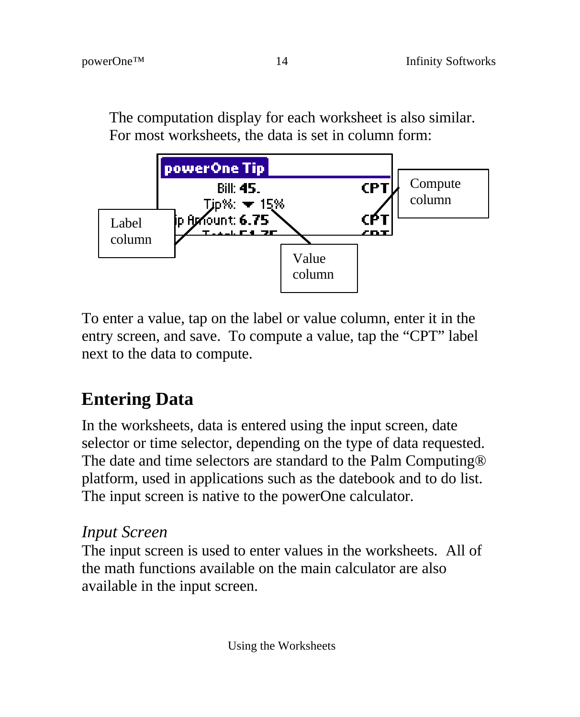The computation display for each worksheet is also similar. For most worksheets, the data is set in column form:



To enter a value, tap on the label or value column, enter it in the entry screen, and save. To compute a value, tap the "CPT" label next to the data to compute.

# **Entering Data**

In the worksheets, data is entered using the input screen, date selector or time selector, depending on the type of data requested. The date and time selectors are standard to the Palm Computing® platform, used in applications such as the datebook and to do list. The input screen is native to the powerOne calculator.

#### *Input Screen*

The input screen is used to enter values in the worksheets. All of the math functions available on the main calculator are also available in the input screen.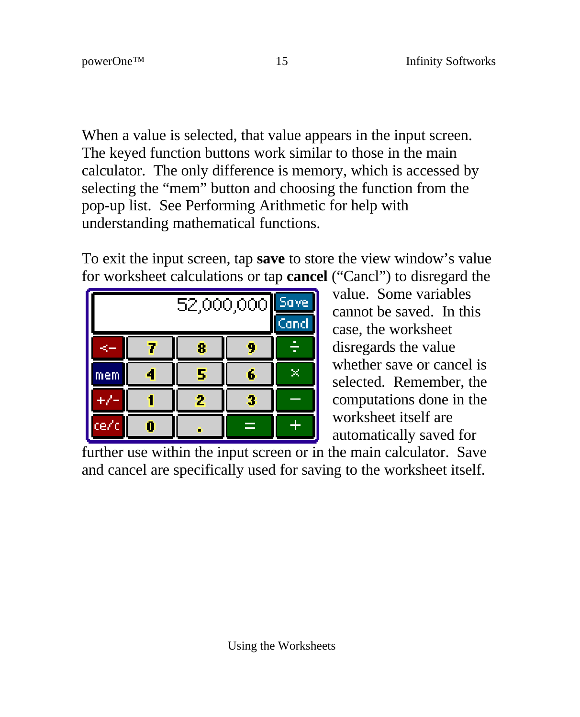When a value is selected, that value appears in the input screen. The keyed function buttons work similar to those in the main calculator. The only difference is memory, which is accessed by selecting the "mem" button and choosing the function from the pop-up list. See Performing Arithmetic for help with understanding mathematical functions.

To exit the input screen, tap **save** to store the view window's value for worksheet calculations or tap **cancel** ("Cancl") to disregard the

| 52,000,000 |   |   | Save |  |  |
|------------|---|---|------|--|--|
|            |   |   |      |  |  |
|            | 8 |   |      |  |  |
| mem        |   | 5 | 6    |  |  |
|            |   | 2 | 3    |  |  |
| ce/        |   |   |      |  |  |

value. Some variables cannot be saved. In this case, the worksheet disregards the value whether save or cancel is selected. Remember, the computations done in the worksheet itself are automatically saved for

further use within the input screen or in the main calculator. Save and cancel are specifically used for saving to the worksheet itself.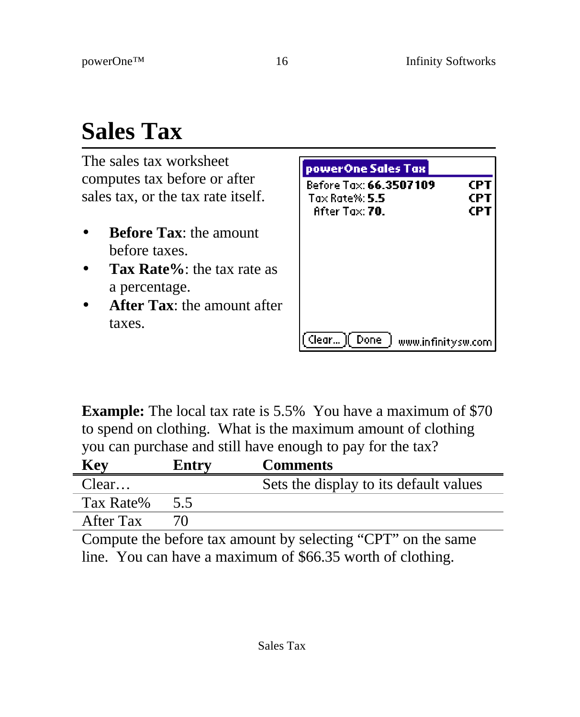# **Sales Tax**

The sales tax worksheet computes tax before or after sales tax, or the tax rate itself.

- **Before Tax:** the amount before taxes.
- **Tax Rate%**: the tax rate as a percentage.
- **After Tax**: the amount after taxes.

| powerOne Sales Tax                                        |                   |
|-----------------------------------------------------------|-------------------|
| Before Tax: 66.3507109<br>Tax Rate%: 5.5<br>After Tax 70. | CPT<br>CPT<br>CPT |
| (lear…l)<br>- Done<br>www.infinitysw.com                  |                   |

**Example:** The local tax rate is 5.5% You have a maximum of \$70 to spend on clothing. What is the maximum amount of clothing you can purchase and still have enough to pay for the tax?

| Key       | Entry | <b>Comments</b>                        |
|-----------|-------|----------------------------------------|
| Clear     |       | Sets the display to its default values |
| Tax Rate% | 5.5   |                                        |
| After Tax |       |                                        |
|           |       |                                        |

Compute the before tax amount by selecting "CPT" on the same line. You can have a maximum of \$66.35 worth of clothing.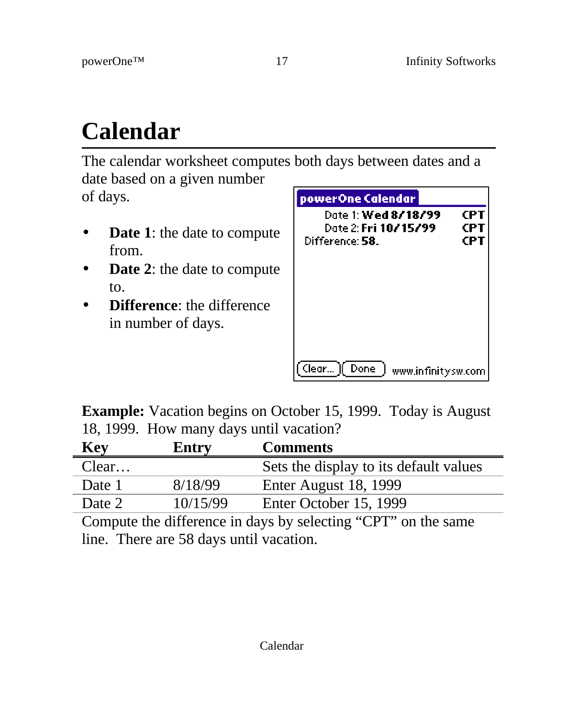# **Calendar**

The calendar worksheet computes both days between dates and a date based on a given number

of days.

- **Date 1:** the date to compute from.
- **Date 2**: the date to compute to.
- **Difference**: the difference in number of days.

| powerOne Calendar                                              |                   |
|----------------------------------------------------------------|-------------------|
| Date 1: Wed 8/18/99<br>Date 2: Fri 10/15/99<br>Difference: 58. | CPT<br>CPT<br>CPT |
|                                                                |                   |
|                                                                |                   |
| Clear )[ Done  <br>www.infinitysw.com                          |                   |

**Example:** Vacation begins on October 15, 1999. Today is August 18, 1999. How many days until vacation?

| Entry    | <b>Comments</b>                        |
|----------|----------------------------------------|
|          | Sets the display to its default values |
| 8/18/99  | Enter August 18, 1999                  |
| 10/15/99 | Enter October 15, 1999                 |
|          |                                        |

Compute the difference in days by selecting "CPT" on the same line. There are 58 days until vacation.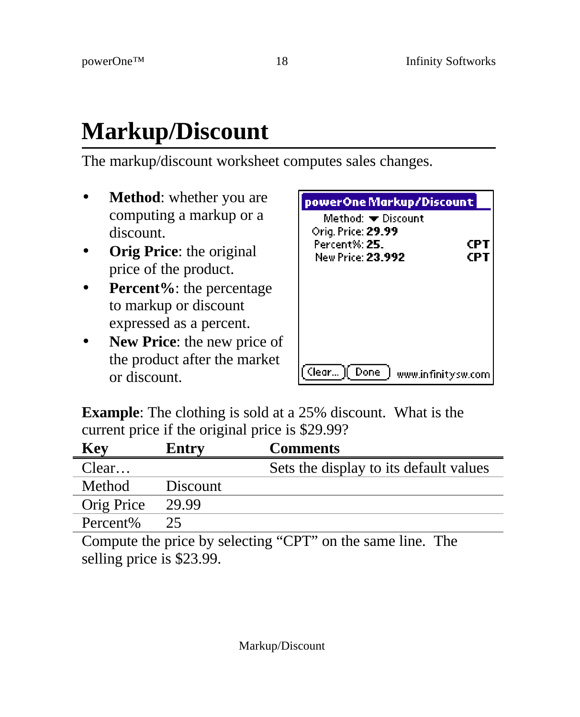# **Markup/Discount**

The markup/discount worksheet computes sales changes.

- **Method**: whether you are computing a markup or a discount.
- **Orig Price**: the original price of the product.
- Percent%: the percentage to markup or discount expressed as a percent.
- **New Price**: the new price of the product after the market or discount.

| powerOne Markup/Discount                                 |           |
|----------------------------------------------------------|-----------|
| Method: ▼ Discount<br>Orig. Price: 29.99<br>Perrent% 25. | CP<br>CP. |
| New Price: 23.992                                        |           |
|                                                          |           |
|                                                          |           |
| Clear    Done<br>www.infinitysw.com                      |           |

**Example**: The clothing is sold at a 25% discount. What is the current price if the original price is \$29.99?

| <b>Key</b>                                                 | Entry    | <b>Comments</b>                        |
|------------------------------------------------------------|----------|----------------------------------------|
| Clear                                                      |          | Sets the display to its default values |
| Method                                                     | Discount |                                        |
| Orig Price                                                 | 29.99    |                                        |
| Percent%                                                   | 25.      |                                        |
| Compute the price by selecting "CPT" on the same line. The |          |                                        |

Compute the price by selecting "CPT" on the same line. The selling price is \$23.99.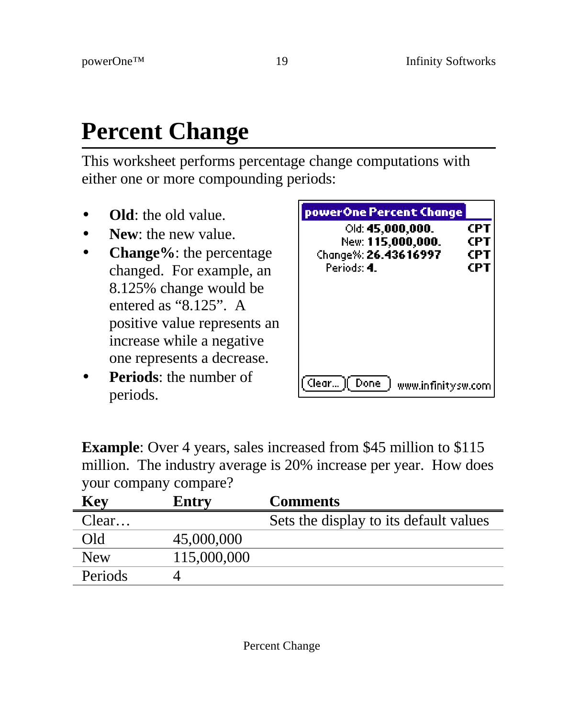# **Percent Change**

This worksheet performs percentage change computations with either one or more compounding periods:

- **Old**: the old value.
- **New**: the new value.
- **Change%**: the percentage changed. For example, an 8.125% change would be entered as "8.125". A positive value represents an increase while a negative one represents a decrease.
- **Periods**: the number of periods.

| powerOne Percent Change<br>Old: 45,000,000.<br>New: <b>115,000,000.</b><br>Change%: 26.43616997<br>Periods: 4 I | CPT<br>CP I<br>CP 1<br>CP1 |
|-----------------------------------------------------------------------------------------------------------------|----------------------------|
| `Clear… ][ Done:<br>www.infinitysw.com                                                                          |                            |

**Example**: Over 4 years, sales increased from \$45 million to \$115 million. The industry average is 20% increase per year. How does your company compare?

| Key        | Entry       | <b>Comments</b>                        |
|------------|-------------|----------------------------------------|
| Clear      |             | Sets the display to its default values |
| Old        | 45,000,000  |                                        |
| <b>New</b> | 115,000,000 |                                        |
| Periods    |             |                                        |
|            |             |                                        |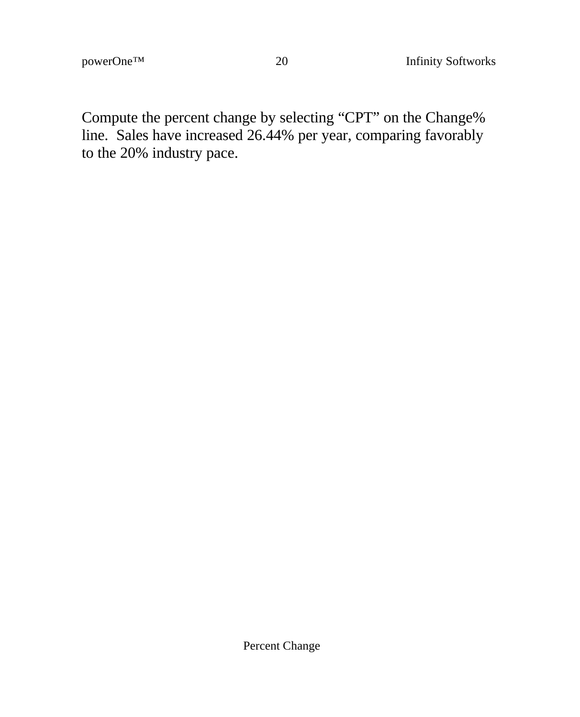Compute the percent change by selecting "CPT" on the Change% line. Sales have increased 26.44% per year, comparing favorably to the 20% industry pace.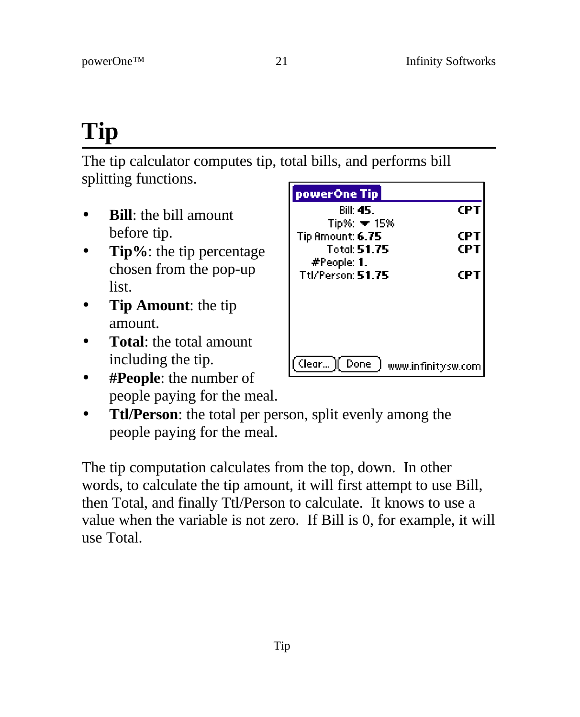# **Tip**

The tip calculator computes tip, total bills, and performs bill splitting functions.

- **Bill**: the bill amount before tip.
- **Tip%**: the tip percentage chosen from the pop-up list.
- **Tip Amount**: the tip amount.
- **Total**: the total amount including the tip.
- **#People**: the number of people paying for the meal.
- **Ttl/Person**: the total per person, split evenly among the people paying for the meal.

The tip computation calculates from the top, down. In other words, to calculate the tip amount, it will first attempt to use Bill, then Total, and finally Ttl/Person to calculate. It knows to use a value when the variable is not zero. If Bill is 0, for example, it will use Total.

| powerOne Tip       |                    |
|--------------------|--------------------|
| Rill 45.           | CP I               |
| $Tip% = 15%$       |                    |
| Tip Amount: 6.75   | CP 1               |
| <b>Total 51.75</b> | CPT                |
| #People: 1.        |                    |
| Ttl/Person: 51.75  | CP.                |
|                    |                    |
|                    |                    |
|                    |                    |
|                    |                    |
| Clear )[ Done      | www.infinitysw.com |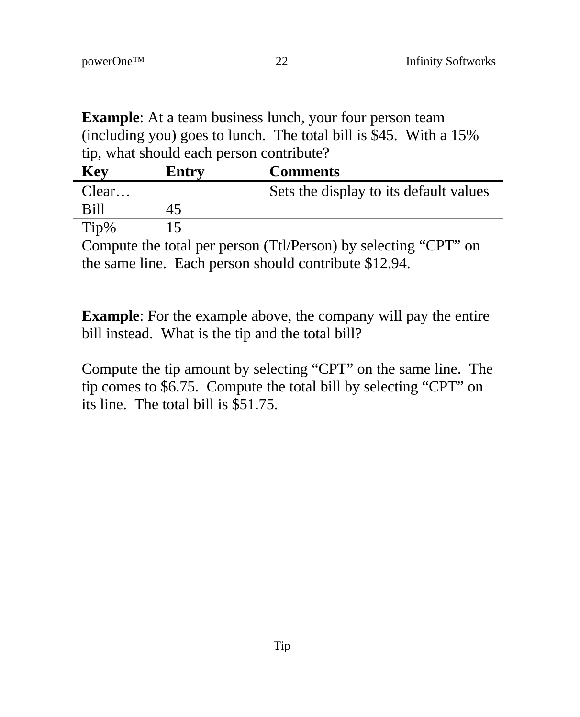**Example**: At a team business lunch, your four person team (including you) goes to lunch. The total bill is \$45. With a 15% tip, what should each person contribute?

|                                        | Entry | <b>Key</b> |
|----------------------------------------|-------|------------|
| Sets the display to its default values | Clear |            |
|                                        |       | Bill       |
|                                        |       | Tip%       |
|                                        |       |            |

Compute the total per person (Ttl/Person) by selecting "CPT" on the same line. Each person should contribute \$12.94.

**Example**: For the example above, the company will pay the entire bill instead. What is the tip and the total bill?

Compute the tip amount by selecting "CPT" on the same line. The tip comes to \$6.75. Compute the total bill by selecting "CPT" on its line. The total bill is \$51.75.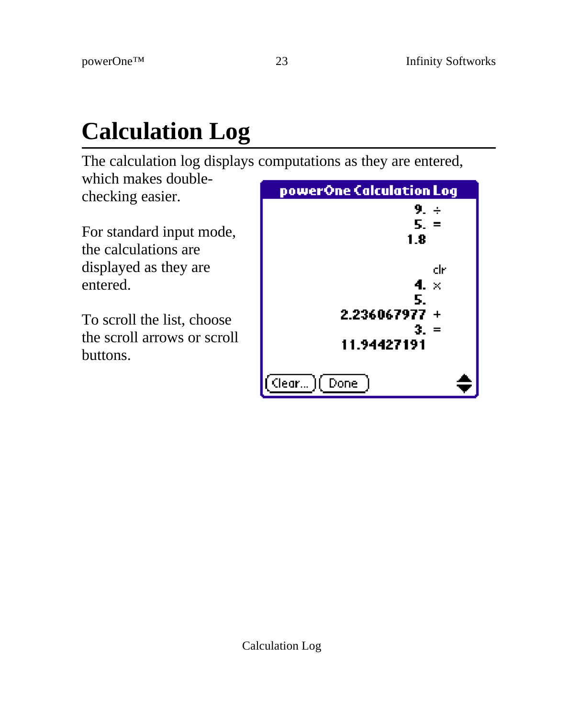# **Calculation Log**

The calculation log displays computations as they are entered, which makes double-

checking easier.

For standard input mode, the calculations are displayed as they are entered.

To scroll the list, choose the scroll arrows or scroll buttons.

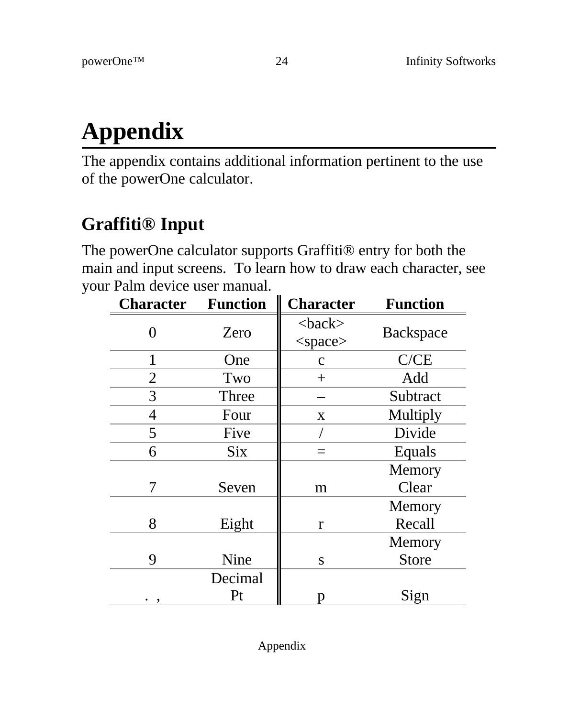# **Appendix**

The appendix contains additional information pertinent to the use of the powerOne calculator.

## **Graffiti® Input**

The powerOne calculator supports Graffiti® entry for both the main and input screens. To learn how to draw each character, see your Palm device user manual.

| <b>Character</b> | <b>Function</b> | <b>Character</b>              | <b>Function</b> |
|------------------|-----------------|-------------------------------|-----------------|
| 0                | Zero            | $<$ back $>$<br>$<$ space $>$ | Backspace       |
| 1                | One             | $\mathbf{C}$                  | C/CE            |
| 2                | Two             | $^{+}$                        | Add             |
| 3                | Three           |                               | Subtract        |
| 4                | Four            | X                             | Multiply        |
| 5                | Five            |                               | Divide          |
| 6                | <b>Six</b>      | $=$                           | Equals          |
|                  |                 |                               | Memory          |
| 7                | Seven           | m                             | Clear           |
|                  |                 |                               | Memory          |
| 8                | Eight           | r                             | Recall          |
|                  |                 |                               | Memory          |
| 9                | Nine            | S                             | <b>Store</b>    |
|                  | Decimal         |                               |                 |
| . ,              | Pt              | Ŋ                             | Sign            |

Appendix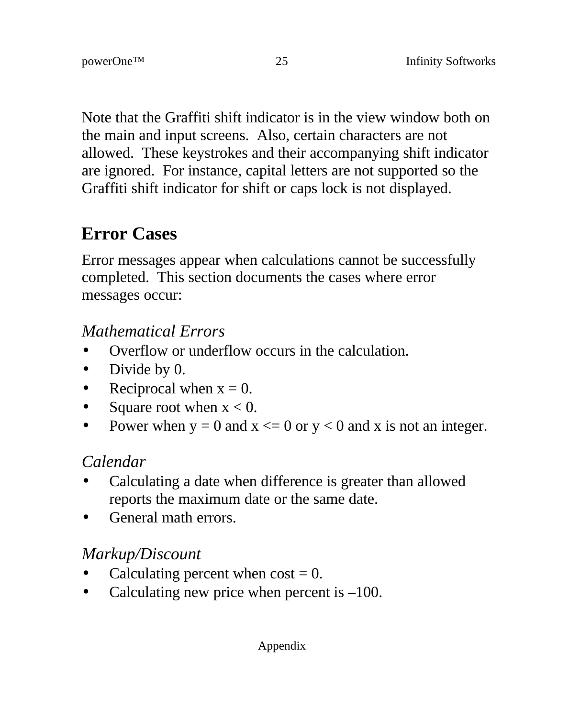Note that the Graffiti shift indicator is in the view window both on the main and input screens. Also, certain characters are not allowed. These keystrokes and their accompanying shift indicator are ignored. For instance, capital letters are not supported so the Graffiti shift indicator for shift or caps lock is not displayed.

### **Error Cases**

Error messages appear when calculations cannot be successfully completed. This section documents the cases where error messages occur:

#### *Mathematical Errors*

- Overflow or underflow occurs in the calculation.
- Divide by 0.
- Reciprocal when  $x = 0$ .
- Square root when  $x < 0$ .
- Power when  $y = 0$  and  $x \le 0$  or  $y < 0$  and x is not an integer.

### *Calendar*

- Calculating a date when difference is greater than allowed reports the maximum date or the same date.
- General math errors.

### *Markup/Discount*

- Calculating percent when  $cost = 0$ .
- Calculating new price when percent is  $-100$ .

Appendix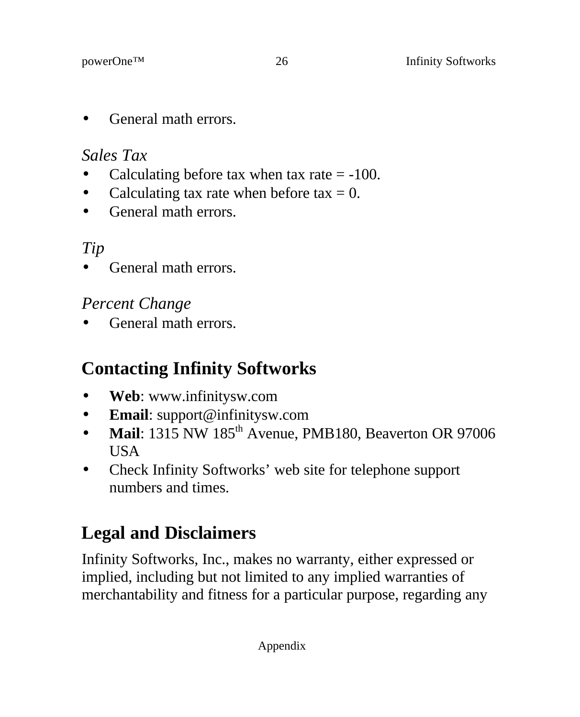• General math errors.

#### *Sales Tax*

- Calculating before tax when tax rate  $= -100$ .
- Calculating tax rate when before tax  $= 0$ .
- General math errors.

### *Tip*

• General math errors.

### *Percent Change*

• General math errors.

# **Contacting Infinity Softworks**

- **Web**: www.infinitysw.com
- **Email**: support@infinitysw.com
- Mail: 1315 NW 185<sup>th</sup> Avenue, PMB180, Beaverton OR 97006 **USA**
- Check Infinity Softworks' web site for telephone support numbers and times.

# **Legal and Disclaimers**

Infinity Softworks, Inc., makes no warranty, either expressed or implied, including but not limited to any implied warranties of merchantability and fitness for a particular purpose, regarding any